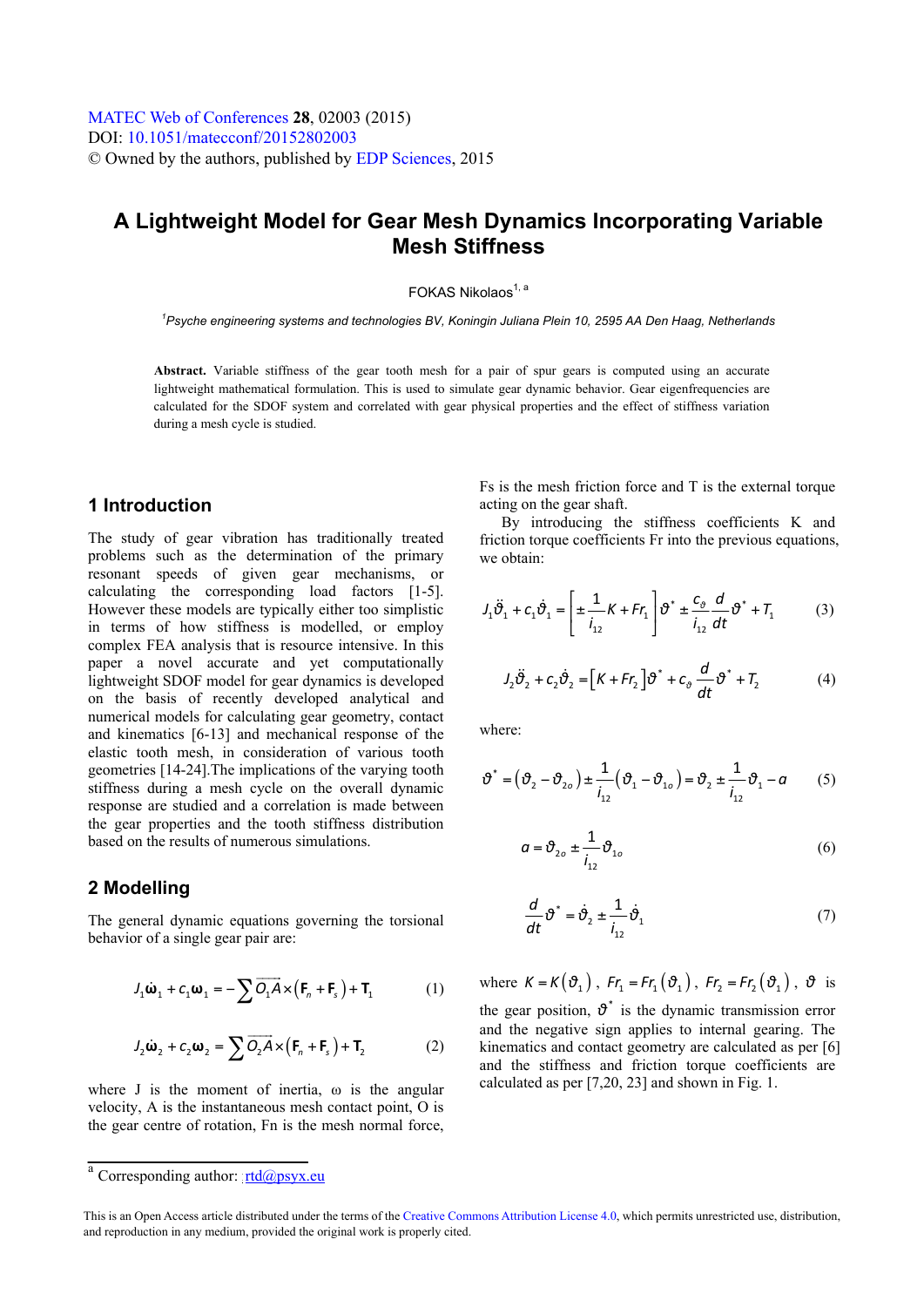# **A Lightweight Model for Gear Mesh Dynamics Incorporating Variable Mesh Stiffness**

# FOKAS Nikolaos<sup>1, a</sup>

*1 Psyche engineering systems and technologies BV, Koningin Juliana Plein 10, 2595 AA Den Haag, Netherlands* 

**Abstract.** Variable stiffness of the gear tooth mesh for a pair of spur gears is computed using an accurate lightweight mathematical formulation. This is used to simulate gear dynamic behavior. Gear eigenfrequencies are calculated for the SDOF system and correlated with gear physical properties and the effect of stiffness variation during a mesh cycle is studied.

# **1 Introduction**

The study of gear vibration has traditionally treated problems such as the determination of the primary resonant speeds of given gear mechanisms, or calculating the corresponding load factors [1-5]. However these models are typically either too simplistic in terms of how stiffness is modelled, or employ complex FEA analysis that is resource intensive. In this paper a novel accurate and yet computationally lightweight SDOF model for gear dynamics is developed on the basis of recently developed analytical and numerical models for calculating gear geometry, contact and kinematics [6-13] and mechanical response of the elastic tooth mesh, in consideration of various tooth geometries [14-24].The implications of the varying tooth stiffness during a mesh cycle on the overall dynamic response are studied and a correlation is made between the gear properties and the tooth stiffness distribution based on the results of numerous simulations.

#### **2 Modelling**

The general dynamic equations governing the torsional behavior of a single gear pair are:

$$
J_1 \dot{\mathbf{\omega}}_1 + C_1 \mathbf{\omega}_1 = -\sum \overrightarrow{O_1 A} \times (\mathbf{F}_n + \mathbf{F}_s) + \mathbf{T}_1
$$
 (1)

$$
J_2 \dot{\mathbf{\omega}}_2 + C_2 \mathbf{\omega}_2 = \sum \overrightarrow{O_2 A} \times (\mathbf{F}_n + \mathbf{F}_s) + \mathbf{T}_2
$$
 (2)

where J is the moment of inertia,  $\omega$  is the angular velocity, A is the instantaneous mesh contact point, O is the gear centre of rotation, Fn is the mesh normal force, Fs is the mesh friction force and T is the external torque acting on the gear shaft.

By introducing the stiffness coefficients K and friction torque coefficients Fr into the previous equations. we obtain:

$$
J_1 \ddot{\vartheta}_1 + C_1 \dot{\vartheta}_1 = \left[ \pm \frac{1}{i_{12}} K + Fr_1 \right] \vartheta^* \pm \frac{C_\vartheta}{i_{12}} \frac{d}{dt} \vartheta^* + T_1 \tag{3}
$$

$$
J_2 \ddot{\partial}_2 + C_2 \dot{\partial}_2 = \left[ K + Fr_2 \right] \partial^* + C_\partial \frac{d}{dt} \partial^* + T_2 \tag{4}
$$

where:

$$
\boldsymbol{\vartheta}^* = (\boldsymbol{\vartheta}_2 - \boldsymbol{\vartheta}_{2o}) \pm \frac{1}{i_{12}} (\boldsymbol{\vartheta}_1 - \boldsymbol{\vartheta}_{1o}) = \boldsymbol{\vartheta}_2 \pm \frac{1}{i_{12}} \boldsymbol{\vartheta}_1 - a \qquad (5)
$$

$$
a = \vartheta_{2o} \pm \frac{1}{i_{12}} \vartheta_{1o}
$$
 (6)

$$
\frac{d}{dt}\vartheta^* = \dot{\vartheta}_2 \pm \frac{1}{i_{12}}\dot{\vartheta}_1
$$
\n(7)

where  $K = K(\vartheta_1)$ ,  $Fr_1 = Fr_1(\vartheta_1)$ ,  $Fr_2 = Fr_2(\vartheta_1)$ ,  $\vartheta$  is the gear position,  $\theta^*$  is the dynamic transmission error and the negative sign applies to internal gearing. The kinematics and contact geometry are calculated as per [6] and the stiffness and friction torque coefficients are calculated as per [7,20, 23] and shown in Fig. 1.

<sup>&</sup>lt;sup>a</sup> Corresponding author: [rtd@psyx.eu](mailto:rtd@psyx.eu)

This is an Open Access article distributed under the terms of the [Creative Commons Attribution License 4.0](http://creativecommons.org/licenses/by/4.0), which permits unrestricted use, distribution, and reproduction in any medium, provided the original work is properly cited.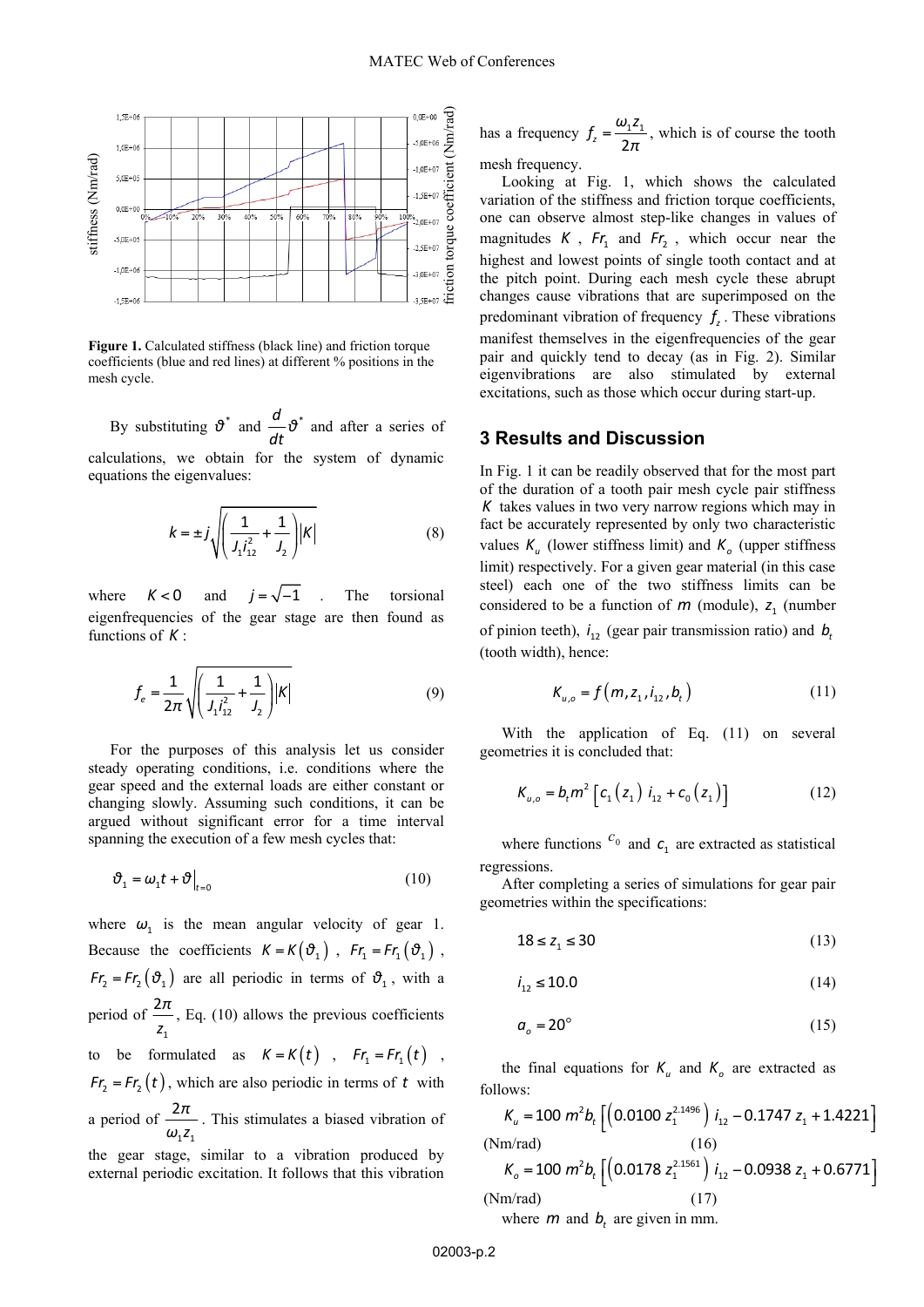

Figure 1. Calculated stiffness (black line) and friction torque coefficients (blue and red lines) at different % positions in the mesh cycle.

By substituting  $\vartheta^*$  and  $\frac{d}{d\vartheta^*}$  $\frac{d\mathbf{r}}{dt}$  and after a series of

calculations, we obtain for the system of dynamic equations the eigenvalues:

$$
k = \pm j \sqrt{\left(\frac{1}{J_1 l_{12}^2} + \frac{1}{J_2}\right) |K|}
$$
 (8)

where  $K < 0$  and  $j = \sqrt{-1}$  . The torsional eigenfrequencies of the gear stage are then found as functions of *K* :

$$
f_e = \frac{1}{2\pi} \sqrt{\left(\frac{1}{J_1 l_{12}^2} + \frac{1}{J_2}\right) |K|}
$$
 (9)

For the purposes of this analysis let us consider steady operating conditions, i.e. conditions where the gear speed and the external loads are either constant or changing slowly. Assuming such conditions, it can be argued without significant error for a time interval spanning the execution of a few mesh cycles that:

$$
\vartheta_1 = \omega_1 t + \vartheta \big|_{t=0} \tag{10}
$$

where  $\omega_1$  is the mean angular velocity of gear 1. Because the coefficients  $K = K(\vartheta_1)$ ,  $Fr_1 = Fr_1(\vartheta_1)$ , *Fr*<sub>2</sub> = *Fr*<sub>2</sub> ( $\vartheta$ <sub>1</sub>) are all periodic in terms of  $\vartheta$ <sub>1</sub>, with a period of 1  $\frac{2\pi}{z_1}$ , Eq. (10) allows the previous coefficients to be formulated as  $K = K(t)$ ,  $Fr_1 = Fr_1(t)$ ,  $Fr_2 = Fr_2(t)$ , which are also periodic in terms of *t* with a period of  $1 - 1$  $\frac{2\pi}{\omega_1 z_1}$ . This stimulates a biased vibration of the gear stage, similar to a vibration produced by external periodic excitation. It follows that this vibration

has a frequency 
$$
f_z = \frac{\omega_1 z_1}{2\pi}
$$
, which is of course the tooth  
mesh frequency.

mesh frequency.

Looking at Fig. 1, which shows the calculated variation of the stiffness and friction torque coefficients. one can observe almost step-like changes in values of magnitudes  $K$ ,  $Fr_1$  and  $Fr_2$ , which occur near the highest and lowest points of single tooth contact and at the pitch point. During each mesh cycle these abrupt changes cause vibrations that are superimposed on the predominant vibration of frequency  $f<sub>z</sub>$ . These vibrations manifest themselves in the eigenfrequencies of the gear pair and quickly tend to decay (as in Fig. 2). Similar eigenvibrations are also stimulated by external excitations, such as those which occur during start-up.

### **3 Results and Discussion**

In Fig. 1 it can be readily observed that for the most part of the duration of a tooth pair mesh cycle pair stiffness *K* takes values in two very narrow regions which may in fact be accurately represented by only two characteristic values  $K_{\mu}$  (lower stiffness limit) and  $K_{\rho}$  (upper stiffness limit) respectively. For a given gear material (in this case steel) each one of the two stiffness limits can be considered to be a function of  $m$  (module),  $z_1$  (number of pinion teeth),  $i_{12}$  (gear pair transmission ratio) and  $b_t$ (tooth width), hence:

$$
K_{u,o} = f(m, z_1, i_{12}, b_t)
$$
 (11)

With the application of Eq. (11) on several geometries it is concluded that:

$$
K_{u,o} = b_t m^2 \left[ c_1 (z_1) i_{12} + c_0 (z_1) \right]
$$
 (12)

where functions  $c_0$  and  $c_1$  are extracted as statistical regressions.

After completing a series of simulations for gear pair geometries within the specifications:

$$
18 \le z_1 \le 30 \tag{13}
$$

$$
i_{12} \le 10.0 \tag{14}
$$

$$
a_o = 20^\circ \tag{15}
$$

the final equations for  $K_u$  and  $K_o$  are extracted as follows:

$$
K_u = 100 \ m^2 b_t \left[ \left( 0.0100 z_1^{2.1496} \right) i_{12} - 0.1747 z_1 + 1.4221 \right]
$$
  
\n(Nm/rad) (16)  
\n
$$
K_o = 100 \ m^2 b_t \left[ \left( 0.0178 z_1^{2.1561} \right) i_{12} - 0.0938 z_1 + 0.6771 \right]
$$
  
\n(Nm/rad) (17)  
\nwhere *m* and *b<sub>t</sub>* are given in mm.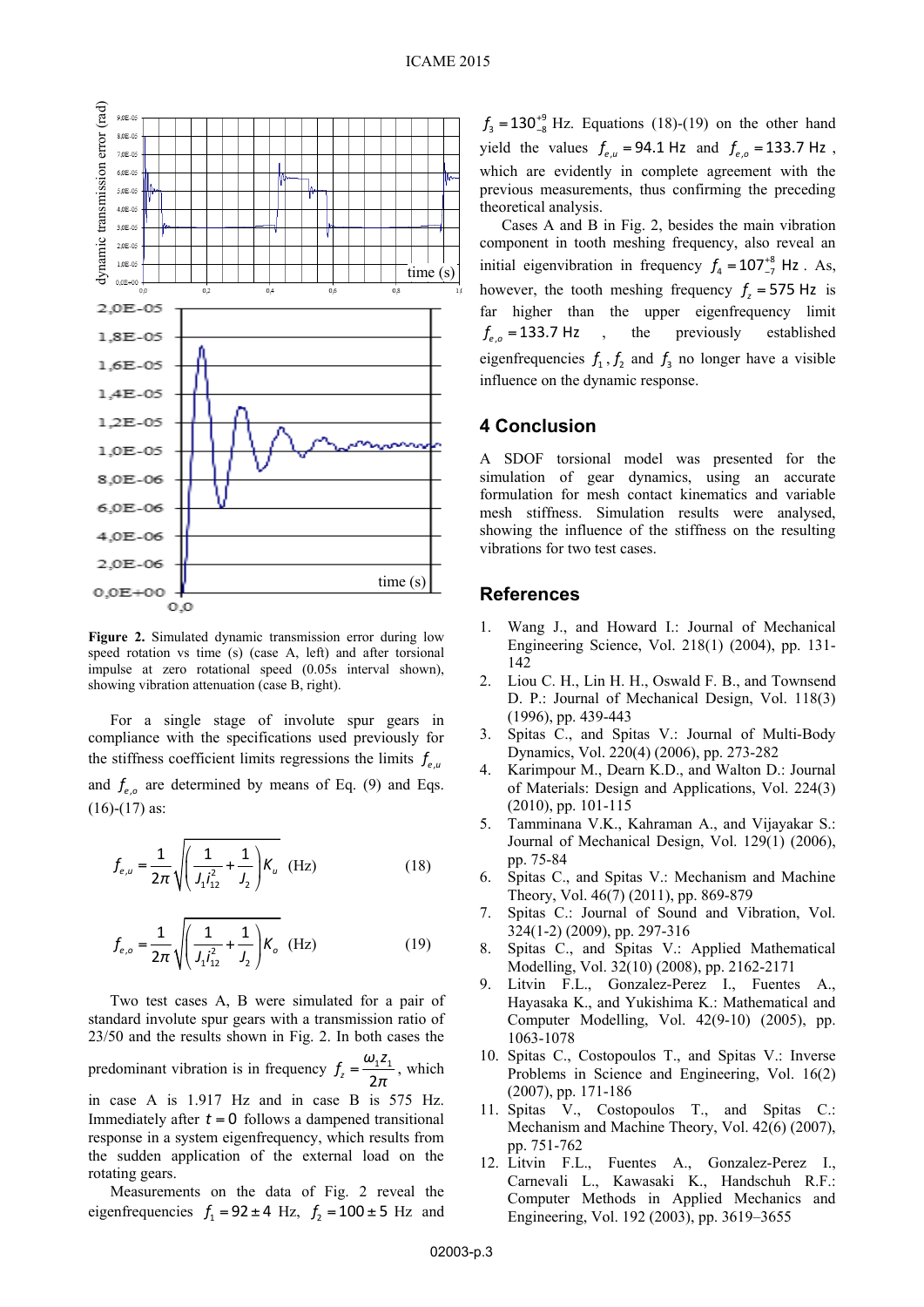

**Figure 2.** Simulated dynamic transmission error during low speed rotation vs time (s) (case A, left) and after torsional impulse at zero rotational speed (0.05s interval shown), showing vibration attenuation (case B, right).

For a single stage of involute spur gears in compliance with the specifications used previously for the stiffness coefficient limits regressions the limits  $f_{e}$ and  $f_{e,o}$  are determined by means of Eq. (9) and Eqs.  $(16)-(17)$  as:

$$
f_{e,u} = \frac{1}{2\pi} \sqrt{\left(\frac{1}{J_1 l_{12}^2} + \frac{1}{J_2}\right) K_u}
$$
 (Hz) (18)

$$
f_{e,o} = \frac{1}{2\pi} \sqrt{\left(\frac{1}{J_1 l_{12}^2} + \frac{1}{J_2}\right) K_o}
$$
 (Hz) (19)

Two test cases A, B were simulated for a pair of standard involute spur gears with a transmission ratio of 23/50 and the results shown in Fig. 2. In both cases the predominant vibration is in frequency  $f_z = \frac{\omega_1 \epsilon_1}{2\pi}$  $f_z = \frac{\omega_1 z_1}{2\pi}$ , which in case A is 1.917 Hz and in case B is 575 Hz. Immediately after  $t = 0$  follows a dampened transitional response in a system eigenfrequency, which results from

the sudden application of the external load on the rotating gears. Measurements on the data of Fig. 2 reveal the eigenfrequencies  $f_1 = 92 \pm 4$  Hz,  $f_2 = 100 \pm 5$  Hz and

 $f_3 = 130^{+9}_{-8}$  Hz. Equations (18)-(19) on the other hand yield the values  $f_{e,u} = 94.1$  Hz and  $f_{e,o} = 133.7$  Hz, which are evidently in complete agreement with the previous measurements, thus confirming the preceding theoretical analysis.

Cases A and B in Fig. 2, besides the main vibration component in tooth meshing frequency, also reveal an initial eigenvibration in frequency  $f_4 = 107^{+8}_{-7}$  Hz. As, however, the tooth meshing frequency  $f<sub>z</sub> = 575$  Hz is far higher than the upper eigenfrequency limit  $f_{eq}$  = 133.7 Hz, the previously established eigenfrequencies  $f_1$ ,  $f_2$  and  $f_3$  no longer have a visible influence on the dynamic response.

# **4 Conclusion**

A SDOF torsional model was presented for the simulation of gear dynamics, using an accurate formulation for mesh contact kinematics and variable mesh stiffness. Simulation results were analysed, showing the influence of the stiffness on the resulting vibrations for two test cases.

#### **References**

- 1. Wang J., and Howard I.: Journal of Mechanical Engineering Science, Vol. 218(1) (2004), pp. 131- 142
- 2. Liou C. H., Lin H. H., Oswald F. B., and Townsend D. P.: Journal of Mechanical Design, Vol. 118(3) (1996), pp. 439-443
- 3. Spitas C., and Spitas V.: Journal of Multi-Body Dynamics, Vol. 220(4) (2006), pp. 273-282
- 4. Karimpour M., Dearn K.D., and Walton D.: Journal of Materials: Design and Applications, Vol. 224(3) (2010), pp. 101-115
- 5. Tamminana V.K., Kahraman A., and Vijayakar S.: Journal of Mechanical Design, Vol. 129(1) (2006), pp. 75-84
- 6. Spitas C., and Spitas V.: Mechanism and Machine Theory, Vol. 46(7) (2011), pp. 869-879
- 7. Spitas C.: Journal of Sound and Vibration, Vol. 324(1-2) (2009), pp. 297-316
- 8. Spitas C., and Spitas V.: Applied Mathematical Modelling, Vol. 32(10) (2008), pp. 2162-2171
- 9. Litvin F.L., Gonzalez-Perez I., Fuentes A., Hayasaka K., and Yukishima K.: Mathematical and Computer Modelling, Vol. 42(9-10) (2005), pp. 1063-1078
- 10. Spitas C., Costopoulos T., and Spitas V.: Inverse Problems in Science and Engineering, Vol. 16(2) (2007), pp. 171-186
- 11. Spitas V., Costopoulos T., and Spitas C.: Mechanism and Machine Theory, Vol. 42(6) (2007), pp. 751-762
- 12. Litvin F.L., Fuentes A., Gonzalez-Perez I., Carnevali L., Kawasaki K., Handschuh R.F.: Computer Methods in Applied Mechanics and Engineering, Vol. 192 (2003), pp. 3619–3655